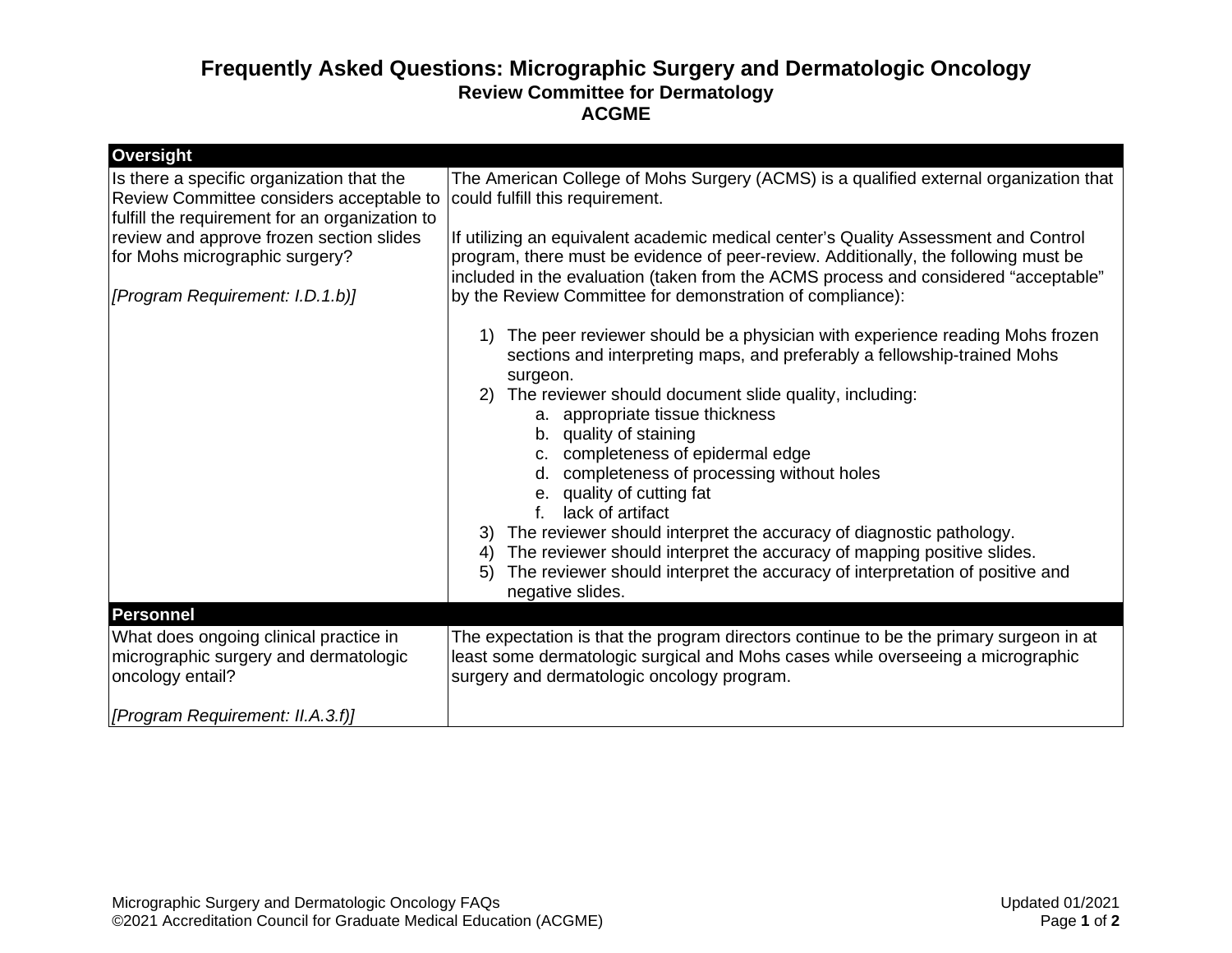## **Frequently Asked Questions: Micrographic Surgery and Dermatologic Oncology Review Committee for Dermatology ACGME**

| Oversight                                                                                                                               |                                                                                                                                                                                                                                                                                                                                                                                                                                                                                                                                                                                                                                                                                                                 |
|-----------------------------------------------------------------------------------------------------------------------------------------|-----------------------------------------------------------------------------------------------------------------------------------------------------------------------------------------------------------------------------------------------------------------------------------------------------------------------------------------------------------------------------------------------------------------------------------------------------------------------------------------------------------------------------------------------------------------------------------------------------------------------------------------------------------------------------------------------------------------|
| Is there a specific organization that the<br>Review Committee considers acceptable to<br>fulfill the requirement for an organization to | The American College of Mohs Surgery (ACMS) is a qualified external organization that<br>could fulfill this requirement.                                                                                                                                                                                                                                                                                                                                                                                                                                                                                                                                                                                        |
| review and approve frozen section slides<br>for Mohs micrographic surgery?                                                              | If utilizing an equivalent academic medical center's Quality Assessment and Control<br>program, there must be evidence of peer-review. Additionally, the following must be<br>included in the evaluation (taken from the ACMS process and considered "acceptable"                                                                                                                                                                                                                                                                                                                                                                                                                                               |
| [Program Requirement: I.D.1.b)]                                                                                                         | by the Review Committee for demonstration of compliance):                                                                                                                                                                                                                                                                                                                                                                                                                                                                                                                                                                                                                                                       |
|                                                                                                                                         | The peer reviewer should be a physician with experience reading Mohs frozen<br>sections and interpreting maps, and preferably a fellowship-trained Mohs<br>surgeon.<br>The reviewer should document slide quality, including:<br>2)<br>a. appropriate tissue thickness<br>b. quality of staining<br>c. completeness of epidermal edge<br>completeness of processing without holes<br>d.<br>e. quality of cutting fat<br>lack of artifact<br>The reviewer should interpret the accuracy of diagnostic pathology.<br>3)<br>The reviewer should interpret the accuracy of mapping positive slides.<br>4)<br>The reviewer should interpret the accuracy of interpretation of positive and<br>5)<br>negative slides. |
| <b>Personnel</b>                                                                                                                        |                                                                                                                                                                                                                                                                                                                                                                                                                                                                                                                                                                                                                                                                                                                 |
| What does ongoing clinical practice in<br>micrographic surgery and dermatologic<br>oncology entail?                                     | The expectation is that the program directors continue to be the primary surgeon in at<br>least some dermatologic surgical and Mohs cases while overseeing a micrographic<br>surgery and dermatologic oncology program.                                                                                                                                                                                                                                                                                                                                                                                                                                                                                         |
| [Program Requirement: II.A.3.f)]                                                                                                        |                                                                                                                                                                                                                                                                                                                                                                                                                                                                                                                                                                                                                                                                                                                 |